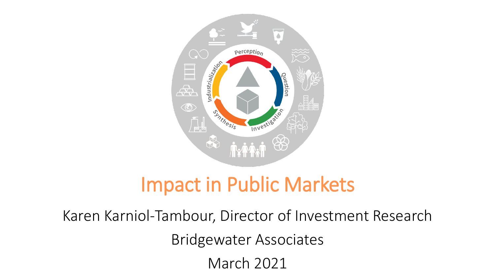

# Impact in Public Markets

Karen Karniol-Tambour, Director of Investment Research Bridgewater Associates March 2021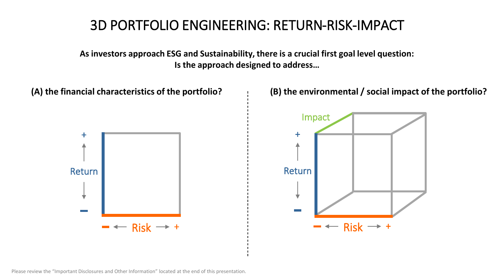## 3D PORTFOLIO ENGINEERING: RETURN-RISK-IMPACT

**As investors approach ESG and Sustainability, there is a crucial first goal level question: Is the approach designed to address…**



Please review the "Important Disclosures and Other Information" located at the end of this presentation.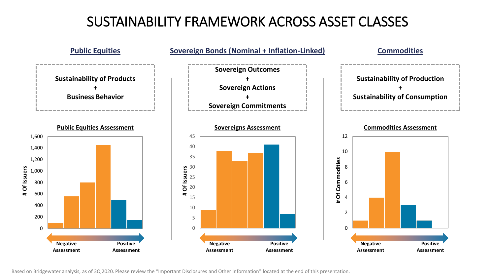## SUSTAINABILITY FRAMEWORK ACROSS ASSET CLASSES



Based on Bridgewater analysis, as of 3Q 2020. Please review the "Important Disclosures and Other Information" located at the end of this presentation.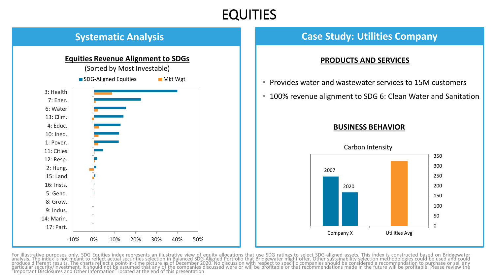### EQUITIES



### **Systematic Analysis Case Study: Utilities Company**

#### **PRODUCTS AND SERVICES**

- Provides water and wastewater services to 15M customers
- 100% revenue alignment to SDG 6: Clean Water and Sanitation

#### **BUSINESS BEHAVIOR**



For illustrative purposes only. SDG Equities index represents an illustrative view of equity allocations that use SDG ratings to select SDG-aligned assets. This index is constructed based on Bridgewater<br>analysis. The index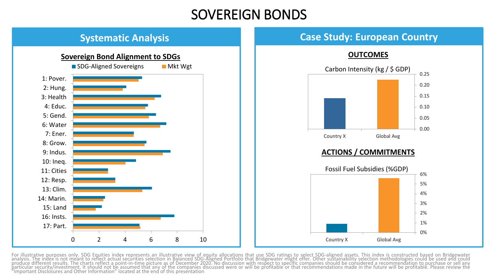### SOVEREIGN BONDS



### **Systematic Analysis Case Study: European Country**

**OUTCOMES**



#### **ACTIONS / COMMITMENTS**



For illustrative purposes only. SDG Equities index represents an illustrative view of equity allocations that use SDG ratings to select SDG-aligned assets. This index is constructed based on Bridgewater<br>analysis. The index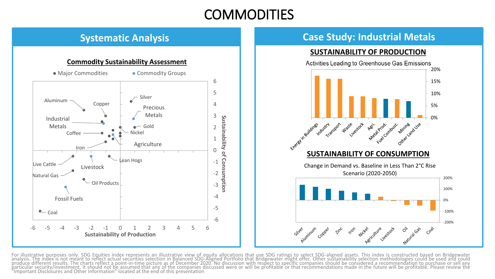### COMMODITIES

#### **Commodity Sustainability Assessment**



### **Systematic Analysis Case Study: Industrial Metals**

#### **SUSTAINABILITY OF PRODUCTION**



For illustrative purposes only. SDG Equities index represents an illustrative view of equity allocations that use SDG ratings to select SDG-aligned assets. This index is constructed based on Bridgewater<br>analysis. The index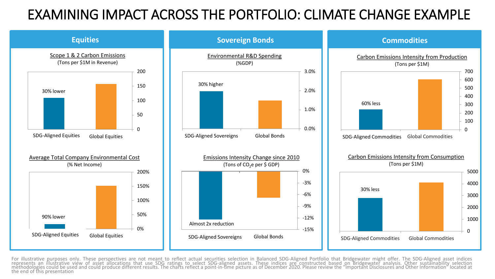## EXAMINING IMPACT ACROSS THE PORTFOLIO: CLIMATE CHANGE EXAMPLE



For illustrative purposes only. These perspectives are not meant to reflect actual securities selection in Balanced SDG-Aligned Portfolio that Bridgewater might offer. The SDG-Aligned asset indices<br>represents an illustrati the end of this presentation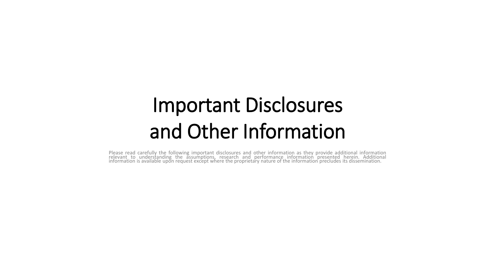# Important Disclosures and Other Information

Please read carefully the following important disclosures and other information as they provide additional information<br>relevant to understanding the assumptions, research and performance information presented her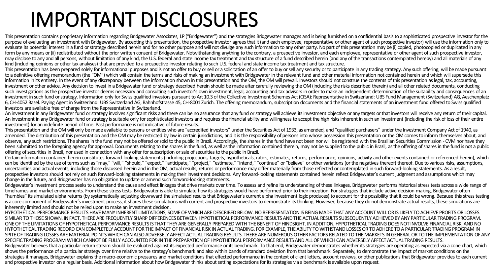# IMPORTANT DISCLOSURES

This presentation contains proprietary information regarding Bridgewater Associates. LP ("Bridgewater") and the strategies Bridgewater manages and is being furnished on a confidential basis to a sophisticated prospective i purpose of evaluating an investment with Bridgewater. By accepting this presentation, the prospective investor agrees that it (and each employee, representative or other agent of such prospective investor) will use the inf evaluate its potential interest in a fund or strategy described herein and for no other purpose and will not divulge any such information to any other party. No part of this presentation may be (i) copied, photocopied or d form by any means or (ii) redistributed without the prior written consent of Bridgewater. Notwithstanding anything to the contrary, a prospective investor, and each employee, representative or other agent of such prospecti may disclose to any and all persons, without limitation of any kind, the U.S. federal and state income tax treatment and tax structure of a fund described herein (and any of the transactions contemplated hereby) and all ma kind (including opinions or other tax analyses) that are provided to a prospective investor relating to such U.S. federal and state income tax treatment and tax structure.

This presentation has been prepared solely for informational purposes and is not an offer to buy or sell or a solicitation of an offer to buy or sell any security or to participate in any trading strategy. Any such offerin to a definitive offering memorandum (the "OM") which will contain the terms and risks of making an investment with Bridgewater in the relevant fund and other material information not contained herein and which will superse information in its entirety. In the event of any discrepancy between the information shown in this presentation and the OM, the OM will prevail. Investors should not construe the contents of this presentation as legal, tax investment or other advice. Any decision to invest in a Bridgewater fund or strategy described herein should be made after carefully reviewing the OM (including the risks described therein) and all other related documents, such investigations as the prospective investor deems necessary and consulting such investor's own investment, legal, accounting and tax advisors in order to make an independent determination of the suitability and consequ investment in such fund or strategy. Information only for Swiss qualified investors pursuant to Art 10.3 of the Collective Investment Schemes Act (CISA): Representative in Switzerland: UBS Fund Management (Switzerland) AG, 6. CH-4052 Basel, Paving Agent in Switzerland: UBS Switzerland AG, Bahnhofstrasse 45, CH-8001 Zurich. The offering memorandum, subscription documents and the financial statements of an investment fund offered to Swiss qual investors are available free of charge from the Representative in Switzerland.

An investment in any Bridgewater fund or strategy involves significant risks and there can be no assurance that any fund or strategy will achieve its investment objective or any targets or that investors will receive any r An investment in any Bridgewater fund or strategy is suitable only for sophisticated investors and requires the financial ability and willingness to accept the high risks inherent in such an investment (including the risk investment) for an indefinite period of time. Past performance is not indicative of future results.

This presentation and the OM will only be made available to persons or entities who are "accredited investors" under the Securities Act of 1933, as amended, and "qualified purchasers" under the Investment Company Act of 19 amended. The distribution of this presentation and the OM may be restricted by law in certain jurisdictions, and it is the responsibility of persons into whose possession this presentation or the OM comes to inform themsel observe, any such restrictions. The shares in the fund may not be offered or sold to the public in Brazil. Accordingly, the shares in the fund have not been nor will be registered with the Brazilian Securities Commission been submitted to the foregoing agency for approval. Documents relating to the shares in the fund, as well as the information contained therein, may not be supplied to the public in Brazil, as the offering of shares in the offering of securities in Brazil, nor used in connection with any offer for subscription or sale of securities to the public in Brazil.

Certain information contained herein constitutes forward-looking statements (including projections, targets, hypotheticals, ratios, estimates, returns, performance, opinions, activity and other events contained or referenc can be identified by the use of terms such as "may," "will," "should," "expect," "anticipate," "project," "estimate," "intend," "continue" or "believe" or other variations (or the negatives thereof) thereof. Due to various uncertainties and actual events, including those discussed herein and in the OM, actual results, returns or performance may differ materially from those reflected or contemplated in such forward-looking statements. As a re prospective investors should not rely on such forward-looking statements in making their investment decisions. Any forward-looking statements contained herein reflect Bridgewater's current judgment and assumptions which ma change in the future, and Bridgewater has no obligation to update or amend such forward-looking statements.

Bridgewater's investment process seeks to understand the cause and effect linkages that drive markets over time. To assess and refine its understanding of these linkages. Bridgewater performs historical stress tests across timeframes and market environments. From these stress tests, Bridgewater is able to simulate how its strategies would have performed prior to their inception. For strategies that include active decision making, Bridgewater "humbles" its simulated alpha returns (by systematically adjusting downward the simulated results that Bridgewater's current alpha investment logic produces) to account for the possibility that it could be wrong. Because t is a core component of Bridgewater's investment process, it shares these simulations with current and prospective investors to demonstrate its thinking. However, because they do not demonstrate actual results, these simula inherently limited and should not be relied upon to make an investment decision.

HYPOTHETICAL PERFORMANCE RESULTS HAVE MANY INHERENT LIMITATIONS, SOME OF WHICH ARE DESCRIBED BELOW. NO REPRESENTATION IS BEING MADE THAT ANY ACCOUNT WILL OR IS LIKELY TO ACHIEVE PROFITS OR LOSSES SIMILAR TO THOSE SHOWN. IN FACT, THERE ARE FREQUENTLY SHARP DIFFERENCES BETWEEN HYPOTHETICAL PERFORMANCE RESULTS AND THE ACTUAL RESULTS SUBSEQUENTLY ACHIEVED BY ANY PARTICULAR TRADING PROGRAM. ONE OF THE LIMITATIONS OF HYPOTHETICAL PERFORMANCE RESULTS IS THAT THEY ARE GENERALLY PREPARED WITH THE BENEFIT OF HINDSIGHT. INADDITION, HYPOTHETICAL TRADING DOES NOT INVOLVE FINANCIAL RISK, AND NO HYPOTHETICAL TRADING RECORD CAN COMPLETELY ACCOUNT FOR THE IMPACT OF FINANCIAL RISK IN ACTUAL TRADING. FOR EXAMPLE, THE ABILITY TO WITHSTAND LOSSES OR TO ADHERE TO A PARTICULAR TRADING PROGRAM IN SPITE OF TRADING LOSSES ARE MATERIAL POINTS WHICH CAN ALSO ADVERSELY AFFECT ACTUAL TRADING RESULTS. THERE ARE NUMEROUS OTHER FACTORS RELATED TO THE MARKETS IN GENERAL OR TO THE IMPLEMENTATION OF ANY SPECIFIC TRADING PROGRAM WHICH CANNOT BE FULLY ACCOUNTED FOR IN THE PREPARATION OF HYPOTHETICAL PERFORMANCE RESULTS AND ALL OF WHICH CAN ADVERSELY AFFECT ACTUAL TRADING RESULTS. Bridgewater believes that a particular return stream should be evaluated against its expected performance or its benchmark. To that end, Bridgewater demonstrates whether its strategies are operating as expected via a cone shows the performance of a particular strategy over time relative to the strategy's benchmark and also within bands of standard deviation from that benchmark. Separately, to demonstrate the impact of market conditions on t strategies it manages, Bridgewater explains the macro-economic pressures and market conditions that effected performance in the context of client letters, account reviews, or other publications that Bridgewater provides to and prospective investor on a regular basis. Additional information about how Bridgewater thinks about setting expectations for its strategies via a benchmark is available upon request.